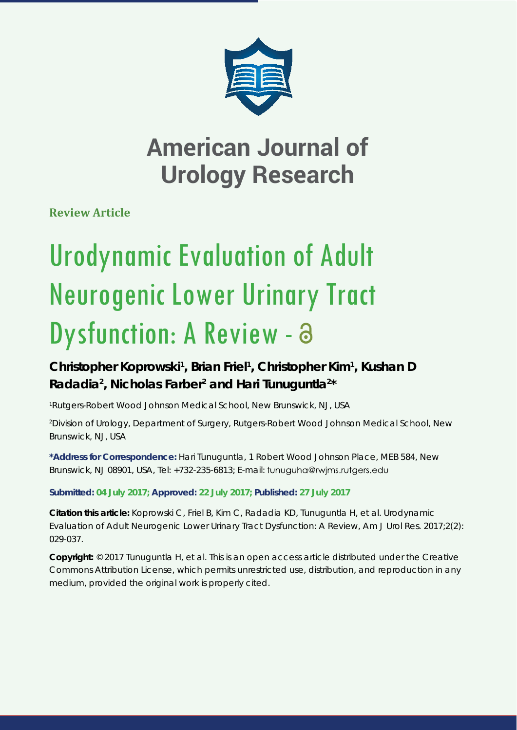

**Review Article**

# Urodynamic Evaluation of Adult Neurogenic Lower Urinary Tract Dysfunction: A Review - a

# Christopher Koprowski<sup>1</sup>, Brian Friel<sup>1</sup>, Christopher Kim<sup>1</sup>, Kushan D Radadia<sup>2</sup>, Nicholas Farber<sup>2</sup> and Hari Tunuguntla<sup>2\*</sup>

*1 Rutgers-Robert Wood Johnson Medical School, New Brunswick, NJ, USA*

*2 Division of Urology, Department of Surgery, Rutgers-Robert Wood Johnson Medical School, New Brunswick, NJ, USA*

**\*Address for Correspondence:** Hari Tunuguntla, 1 Robert Wood Johnson Place, MEB 584, New Brunswick, NJ 08901, USA, Tel: +732-235-6813; E-mail:

**Submitted: 04 July 2017; Approved: 22 July 2017; Published: 27 July 2017**

**Citation this article:** Koprowski C, Friel B, Kim C, Radadia KD, Tunuguntla H, et al. Urodynamic Evaluation of Adult Neurogenic Lower Urinary Tract Dysfunction: A Review, Am J Urol Res. 2017;2(2): 029-037.

**Copyright:** © 2017 Tunuguntla H, et al. This is an open access article distributed under the Creative Commons Attribution License, which permits unrestricted use, distribution, and reproduction in any medium, provided the original work is properly cited.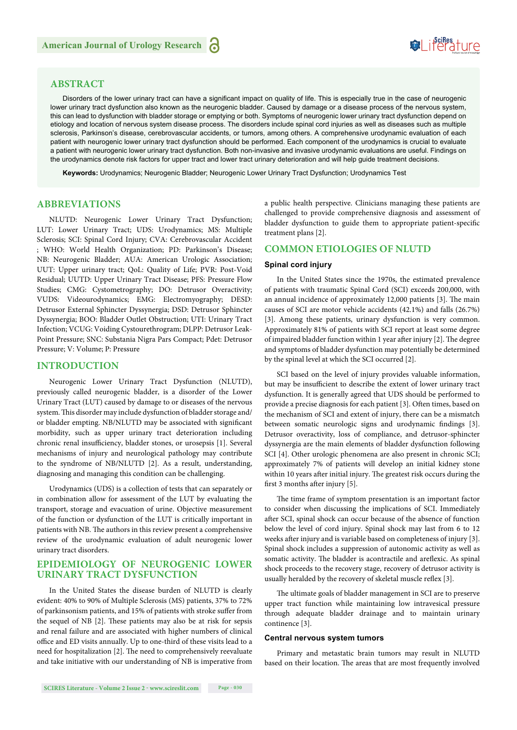# Suifes ture

# **ABSTRACT**

Disorders of the lower urinary tract can have a significant impact on quality of life. This is especially true in the case of neurogenic lower urinary tract dysfunction also known as the neurogenic bladder. Caused by damage or a disease process of the nervous system, this can lead to dysfunction with bladder storage or emptying or both. Symptoms of neurogenic lower urinary tract dysfunction depend on etiology and location of nervous system disease process. The disorders include spinal cord injuries as well as diseases such as multiple sclerosis, Parkinson's disease, cerebrovascular accidents, or tumors, among others. A comprehensive urodynamic evaluation of each patient with neurogenic lower urinary tract dysfunction should be performed. Each component of the urodynamics is crucial to evaluate a patient with neurogenic lower urinary tract dysfunction. Both non-invasive and invasive urodynamic evaluations are useful. Findings on the urodynamics denote risk factors for upper tract and lower tract urinary deterioration and will help guide treatment decisions.

**Keywords:** Urodynamics; Neurogenic Bladder; Neurogenic Lower Urinary Tract Dysfunction; Urodynamics Test

## **ABBREVIATIONS**

NLUTD: Neurogenic Lower Urinary Tract Dysfunction; LUT: Lower Urinary Tract; UDS: Urodynamics; MS: Multiple Sclerosis; SCI: Spinal Cord Injury; CVA: Cerebrovascular Accident ; WHO: World Health Organization; PD: Parkinson's Disease; NB: Neurogenic Bladder; AUA: American Urologic Association; UUT: Upper urinary tract; QoL: Quality of Life; PVR: Post-Void Residual; UUTD: Upper Urinary Tract Disease; PFS: Pressure Flow Studies; CMG: Cystometrography; DO: Detrusor Overactivity; VUDS: Videourodynamics; EMG: Electromyography; DESD: Detrusor External Sphincter Dyssynergia; DSD: Detrusor Sphincter Dyssynergia; BOO: Bladder Outlet Obstruction; UTI: Urinary Tract Infection; VCUG: Voiding Cystourethrogram; DLPP: Detrusor Leak-Point Pressure; SNC: Substania Nigra Pars Compact; Pdet: Detrusor Pressure; V: Volume; P: Pressure

# **INTRODUCTION**

Neurogenic Lower Urinary Tract Dysfunction (NLUTD), previously called neurogenic bladder, is a disorder of the Lower Urinary Tract (LUT) caused by damage to or diseases of the nervous system. This disorder may include dysfunction of bladder storage and/ or bladder empting. NB/NLUTD may be associated with significant morbidity, such as upper urinary tract deterioration including chronic renal insufficiency, bladder stones, or urosepsis [1]. Several mechanisms of injury and neurological pathology may contribute to the syndrome of NB/NLUTD [2]. As a result, understanding, diagnosing and managing this condition can be challenging.

Urodynamics (UDS) is a collection of tests that can separately or in combination allow for assessment of the LUT by evaluating the transport, storage and evacuation of urine. Objective measurement of the function or dysfunction of the LUT is critically important in patients with NB. The authors in this review present a comprehensive review of the urodynamic evaluation of adult neurogenic lower urinary tract disorders.

### **EPIDEMIOLOGY OF NEUROGENIC LOWER URINARY TRACT DYSFUNCTION**

In the United States the disease burden of NLUTD is clearly evident: 40% to 90% of Multiple Sclerosis (MS) patients, 37% to 72% of parkinsonism patients, and 15% of patients with stroke suffer from the sequel of NB [2]. These patients may also be at risk for sepsis and renal failure and are associated with higher numbers of clinical office and ED visits annually. Up to one-third of these visits lead to a need for hospitalization [2]. The need to comprehensively reevaluate and take initiative with our understanding of NB is imperative from a public health perspective. Clinicians managing these patients are challenged to provide comprehensive diagnosis and assessment of bladder dysfunction to guide them to appropriate patient-specific treatment plans [2].

# **COMMON ETIOLOGIES OF NLUTD**

#### **Spinal cord injury**

In the United States since the 1970s, the estimated prevalence of patients with traumatic Spinal Cord (SCI) exceeds 200,000, with an annual incidence of approximately 12,000 patients [3]. The main causes of SCI are motor vehicle accidents (42.1%) and falls (26.7%) [3]. Among these patients, urinary dysfunction is very common. Approximately 81% of patients with SCI report at least some degree of impaired bladder function within 1 year after injury [2]. The degree and symptoms of bladder dysfunction may potentially be determined by the spinal level at which the SCI occurred [2].

SCI based on the level of injury provides valuable information, but may be insufficient to describe the extent of lower urinary tract dysfunction. It is generally agreed that UDS should be performed to provide a precise diagnosis for each patient [3]. Often times, based on the mechanism of SCI and extent of injury, there can be a mismatch between somatic neurologic signs and urodynamic findings [3]. Detrusor overactivity, loss of compliance, and detrusor-sphincter dyssynergia are the main elements of bladder dysfunction following SCI [4]. Other urologic phenomena are also present in chronic SCI; approximately 7% of patients will develop an initial kidney stone within 10 years after initial injury. The greatest risk occurs during the first 3 months after injury  $[5]$ .

The time frame of symptom presentation is an important factor to consider when discussing the implications of SCI. Immediately after SCI, spinal shock can occur because of the absence of function below the level of cord injury. Spinal shock may last from 6 to 12 weeks after injury and is variable based on completeness of injury [3]. Spinal shock includes a suppression of autonomic activity as well as somatic activity. The bladder is acontractile and areflexic. As spinal shock proceeds to the recovery stage, recovery of detrusor activity is usually heralded by the recovery of skeletal muscle reflex [3].

The ultimate goals of bladder management in SCI are to preserve upper tract function while maintaining low intravesical pressure through adequate bladder drainage and to maintain urinary continence [3].

#### **Central nervous system tumors**

Primary and metastatic brain tumors may result in NLUTD based on their location. The areas that are most frequently involved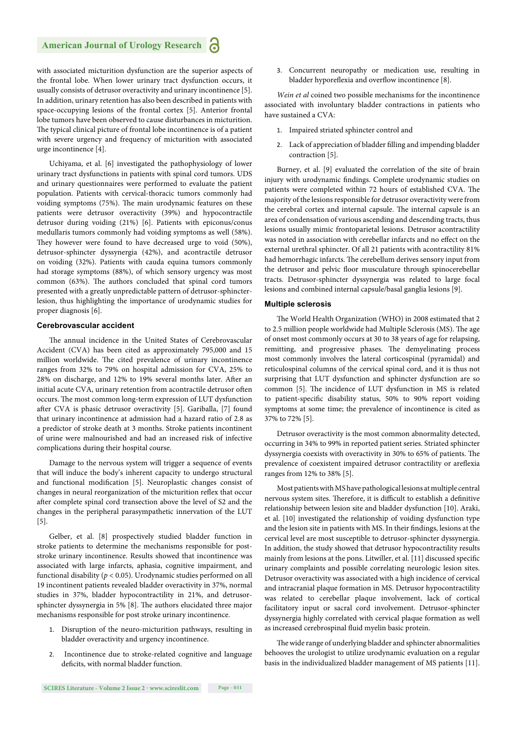with associated micturition dysfunction are the superior aspects of the frontal lobe. When lower urinary tract dysfunction occurs, it usually consists of detrusor overactivity and urinary incontinence [5]. In addition, urinary retention has also been described in patients with space-occupying lesions of the frontal cortex [5]. Anterior frontal lobe tumors have been observed to cause disturbances in micturition. The typical clinical picture of frontal lobe incontinence is of a patient with severe urgency and frequency of micturition with associated urge incontinence [4].

Uchiyama, et al. [6] investigated the pathophysiology of lower urinary tract dysfunctions in patients with spinal cord tumors. UDS and urinary questionnaires were performed to evaluate the patient population. Patients with cervical-thoracic tumors commonly had voiding symptoms (75%). The main urodynamic features on these patients were detrusor overactivity (39%) and hypocontractile detrusor during voiding (21%) [6]. Patients with epiconus/conus medullaris tumors commonly had voiding symptoms as well (58%). They however were found to have decreased urge to void (50%), detrusor-sphincter dyssynergia (42%), and acontractile detrusor on voiding (32%). Patients with cauda equina tumors commonly had storage symptoms (88%), of which sensory urgency was most common (63%). The authors concluded that spinal cord tumors presented with a greatly unpredictable pattern of detrusor-sphincterlesion, thus highlighting the importance of urodynamic studies for proper diagnosis [6].

#### **Cerebrovascular accident**

The annual incidence in the United States of Cerebrovascular Accident (CVA) has been cited as approximately 795,000 and 15 million worldwide. The cited prevalence of urinary incontinence ranges from 32% to 79% on hospital admission for CVA, 25% to 28% on discharge, and 12% to 19% several months later. After an initial acute CVA, urinary retention from acontractile detrusor often occurs. The most common long-term expression of LUT dysfunction after CVA is phasic detrusor overactivity [5]. Gariballa, [7] found that urinary incontinence at admission had a hazard ratio of 2.8 as a predictor of stroke death at 3 months. Stroke patients incontinent of urine were malnourished and had an increased risk of infective complications during their hospital course.

Damage to the nervous system will trigger a sequence of events that will induce the body's inherent capacity to undergo structural and functional modification [5]. Neuroplastic changes consist of changes in neural reorganization of the micturition reflex that occur after complete spinal cord transection above the level of S2 and the changes in the peripheral parasympathetic innervation of the LUT [5].

Gelber, et al. [8] prospectively studied bladder function in stroke patients to determine the mechanisms responsible for poststroke urinary incontinence. Results showed that incontinence was associated with large infarcts, aphasia, cognitive impairment, and functional disability ( $p < 0.05$ ). Urodynamic studies performed on all 19 incontinent patients revealed bladder overactivity in 37%, normal studies in 37%, bladder hypocontractility in 21%, and detrusorsphincter dyssynergia in 5% [8]. The authors elucidated three major mechanisms responsible for post stroke urinary incontinence.

- 1. Disruption of the neuro-micturition pathways, resulting in bladder overactivity and urgency incontinence.
- 2. Incontinence due to stroke-related cognitive and language deficits, with normal bladder function.

3. Concurrent neuropathy or medication use, resulting in bladder hyporeflexia and overflow incontinence [8].

*Wein et al* coined two possible mechanisms for the incontinence associated with involuntary bladder contractions in patients who have sustained a CVA:

- 1. Impaired striated sphincter control and
- 2. Lack of appreciation of bladder filling and impending bladder contraction [5].

Burney, et al. [9] evaluated the correlation of the site of brain injury with urodynamic findings. Complete urodynamic studies on patients were completed within 72 hours of established CVA. The majority of the lesions responsible for detrusor overactivity were from the cerebral cortex and internal capsule. The internal capsule is an area of condensation of various ascending and descending tracts, thus lesions usually mimic frontoparietal lesions. Detrusor acontractility was noted in association with cerebellar infarcts and no effect on the external urethral sphincter. Of all 21 patients with acontractility 81% had hemorrhagic infarcts. The cerebellum derives sensory input from the detrusor and pelvic floor musculature through spinocerebellar tracts. Detrusor-sphincter dyssynergia was related to large focal lesions and combined internal capsule/basal ganglia lesions [9].

#### **Multiple sclerosis**

The World Health Organization (WHO) in 2008 estimated that 2 to 2.5 million people worldwide had Multiple Sclerosis (MS). The age of onset most commonly occurs at 30 to 38 years of age for relapsing, remitting, and progressive phases. The demyelinating process most commonly involves the lateral corticospinal (pyramidal) and reticulospinal columns of the cervical spinal cord, and it is thus not surprising that LUT dysfunction and sphincter dysfunction are so common [5]. The incidence of LUT dysfunction in MS is related to patient-specific disability status, 50% to 90% report voiding symptoms at some time; the prevalence of incontinence is cited as 37% to 72% [5].

Detrusor overactivity is the most common abnormality detected, occurring in 34% to 99% in reported patient series. Striated sphincter dyssynergia coexists with overactivity in 30% to 65% of patients. The prevalence of coexistent impaired detrusor contractility or areflexia ranges from 12% to 38% [5].

Most patients with MS have pathological lesions at multiple central nervous system sites. Therefore, it is difficult to establish a definitive relationship between lesion site and bladder dysfunction [10]. Araki, et al. [10] investigated the relationship of voiding dysfunction type and the lesion site in patients with MS. In their findings, lesions at the cervical level are most susceptible to detrusor-sphincter dyssynergia. In addition, the study showed that detrusor hypocontractility results mainly from lesions at the pons. Litwiller, et al. [11] discussed specific urinary complaints and possible correlating neurologic lesion sites. Detrusor overactivity was associated with a high incidence of cervical and intracranial plaque formation in MS. Detrusor hypocontractility was related to cerebellar plaque involvement, lack of cortical facilitatory input or sacral cord involvement. Detrusor-sphincter dyssynergia highly correlated with cervical plaque formation as well as increased cerebrospinal fluid myelin basic protein.

The wide range of underlying bladder and sphincter abnormalities behooves the urologist to utilize urodynamic evaluation on a regular basis in the individualized bladder management of MS patients [11].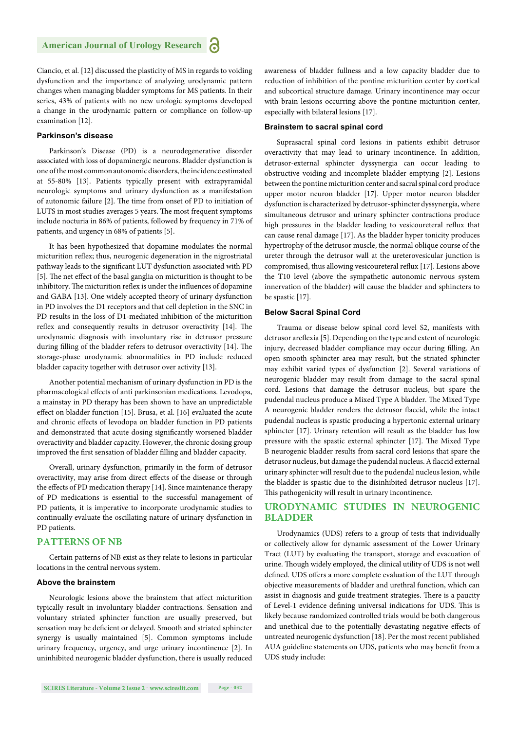Ciancio, et al. [12] discussed the plasticity of MS in regards to voiding dysfunction and the importance of analyzing urodynamic pattern changes when managing bladder symptoms for MS patients. In their series, 43% of patients with no new urologic symptoms developed a change in the urodynamic pattern or compliance on follow-up examination [12].

#### **Parkinson's disease**

Parkinson's Disease (PD) is a neurodegenerative disorder associated with loss of dopaminergic neurons. Bladder dysfunction is one of the most common autonomic disorders, the incidence estimated at 55-80% [13]. Patients typically present with extrapyramidal neurologic symptoms and urinary dysfunction as a manifestation of autonomic failure [2]. The time from onset of PD to initiation of LUTS in most studies averages 5 years. The most frequent symptoms include nocturia in 86% of patients, followed by frequency in 71% of patients, and urgency in 68% of patients [5].

It has been hypothesized that dopamine modulates the normal micturition reflex; thus, neurogenic degeneration in the nigrostriatal pathway leads to the significant LUT dysfunction associated with PD [5]. The net effect of the basal ganglia on micturition is thought to be inhibitory. The micturition reflex is under the influences of dopamine and GABA [13]. One widely accepted theory of urinary dysfunction in PD involves the D1 receptors and that cell depletion in the SNC in PD results in the loss of D1-mediated inhibition of the micturition reflex and consequently results in detrusor overactivity [14]. The urodynamic diagnosis with involuntary rise in detrusor pressure during filling of the bladder refers to detrusor overactivity [14]. The storage-phase urodynamic abnormalities in PD include reduced bladder capacity together with detrusor over activity [13].

Another potential mechanism of urinary dysfunction in PD is the pharmacological effects of anti parkinsonian medications. Levodopa, a mainstay in PD therapy has been shown to have an unpredictable effect on bladder function [15]. Brusa, et al. [16] evaluated the acute and chronic effects of levodopa on bladder function in PD patients and demonstrated that acute dosing significantly worsened bladder overactivity and bladder capacity. However, the chronic dosing group improved the first sensation of bladder filling and bladder capacity.

Overall, urinary dysfunction, primarily in the form of detrusor overactivity, may arise from direct effects of the disease or through the effects of PD medication therapy [14]. Since maintenance therapy of PD medications is essential to the successful management of PD patients, it is imperative to incorporate urodynamic studies to continually evaluate the oscillating nature of urinary dysfunction in PD patients.

#### **PATTERNS OF NB**

Certain patterns of NB exist as they relate to lesions in particular locations in the central nervous system.

#### **Above the brainstem**

Neurologic lesions above the brainstem that affect micturition typically result in involuntary bladder contractions. Sensation and voluntary striated sphincter function are usually preserved, but sensation may be deficient or delayed. Smooth and striated sphincter synergy is usually maintained [5]. Common symptoms include urinary frequency, urgency, and urge urinary incontinence [2]. In uninhibited neurogenic bladder dysfunction, there is usually reduced awareness of bladder fullness and a low capacity bladder due to reduction of inhibition of the pontine micturition center by cortical and subcortical structure damage. Urinary incontinence may occur with brain lesions occurring above the pontine micturition center, especially with bilateral lesions [17].

#### **Brainstem to sacral spinal cord**

Suprasacral spinal cord lesions in patients exhibit detrusor overactivity that may lead to urinary incontinence. In addition, detrusor-external sphincter dyssynergia can occur leading to obstructive voiding and incomplete bladder emptying [2]. Lesions between the pontine micturition center and sacral spinal cord produce upper motor neuron bladder [17]. Upper motor neuron bladder dysfunction is characterized by detrusor-sphincter dyssynergia, where simultaneous detrusor and urinary sphincter contractions produce high pressures in the bladder leading to vesicoureteral reflux that can cause renal damage [17]. As the bladder hyper tonicity produces hypertrophy of the detrusor muscle, the normal oblique course of the ureter through the detrusor wall at the ureterovesicular junction is compromised, thus allowing vesicoureteral reflux [17]. Lesions above the T10 level (above the sympathetic autonomic nervous system innervation of the bladder) will cause the bladder and sphincters to be spastic [17].

#### **Below Sacral Spinal Cord**

Trauma or disease below spinal cord level S2, manifests with detrusor areflexia [5]. Depending on the type and extent of neurologic injury, decreased bladder compliance may occur during filling. An open smooth sphincter area may result, but the striated sphincter may exhibit varied types of dysfunction [2]. Several variations of neurogenic bladder may result from damage to the sacral spinal cord. Lesions that damage the detrusor nucleus, but spare the pudendal nucleus produce a Mixed Type A bladder. The Mixed Type A neurogenic bladder renders the detrusor flaccid, while the intact pudendal nucleus is spastic producing a hypertonic external urinary sphincter [17]. Urinary retention will result as the bladder has low pressure with the spastic external sphincter [17]. The Mixed Type B neurogenic bladder results from sacral cord lesions that spare the detrusor nucleus, but damage the pudendal nucleus. A flaccid external urinary sphincter will result due to the pudendal nucleus lesion, while the bladder is spastic due to the disinhibited detrusor nucleus [17]. This pathogenicity will result in urinary incontinence.

# **URODYNAMIC STUDIES IN NEUROGENIC BLADDER**

Urodynamics (UDS) refers to a group of tests that individually or collectively allow for dynamic assessment of the Lower Urinary Tract (LUT) by evaluating the transport, storage and evacuation of urine. Though widely employed, the clinical utility of UDS is not well defined. UDS offers a more complete evaluation of the LUT through objective measurements of bladder and urethral function, which can assist in diagnosis and guide treatment strategies. There is a paucity of Level-1 evidence defining universal indications for UDS. This is likely because randomized controlled trials would be both dangerous and unethical due to the potentially devastating negative effects of untreated neurogenic dysfunction [18]. Per the most recent published AUA guideline statements on UDS, patients who may benefit from a UDS study include: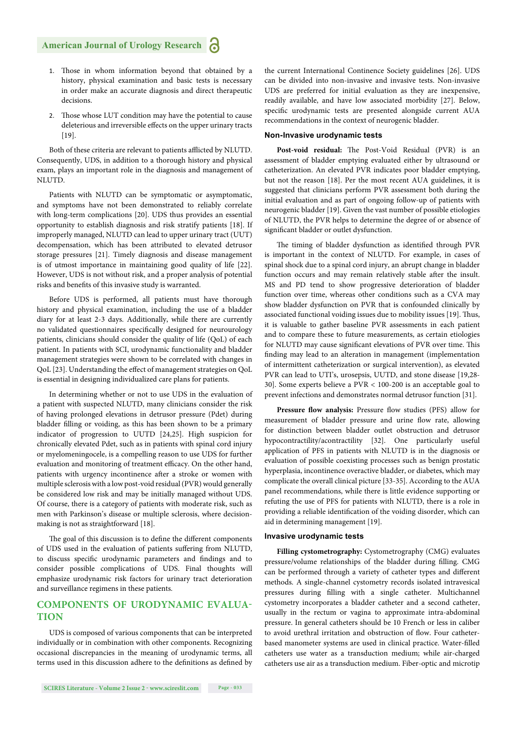- 1. Those in whom information beyond that obtained by a history, physical examination and basic tests is necessary in order make an accurate diagnosis and direct therapeutic decisions.
- 2. Those whose LUT condition may have the potential to cause deleterious and irreversible effects on the upper urinary tracts [19].

Both of these criteria are relevant to patients afflicted by NLUTD. Consequently, UDS, in addition to a thorough history and physical exam, plays an important role in the diagnosis and management of NLUTD.

Patients with NLUTD can be symptomatic or asymptomatic, and symptoms have not been demonstrated to reliably correlate with long-term complications [20]. UDS thus provides an essential opportunity to establish diagnosis and risk stratify patients [18]. If improperly managed, NLUTD can lead to upper urinary tract (UUT) decompensation, which has been attributed to elevated detrusor storage pressures [21]. Timely diagnosis and disease management is of utmost importance in maintaining good quality of life [22]. However, UDS is not without risk, and a proper analysis of potential risks and benefits of this invasive study is warranted.

Before UDS is performed, all patients must have thorough history and physical examination, including the use of a bladder diary for at least 2-3 days. Additionally, while there are currently no validated questionnaires specifically designed for neurourology patients, clinicians should consider the quality of life (QoL) of each patient. In patients with SCI, urodynamic functionality and bladder management strategies were shown to be correlated with changes in QoL [23]. Understanding the effect of management strategies on QoL is essential in designing individualized care plans for patients.

In determining whether or not to use UDS in the evaluation of a patient with suspected NLUTD, many clinicians consider the risk of having prolonged elevations in detrusor pressure (Pdet) during bladder filling or voiding, as this has been shown to be a primary indicator of progression to UUTD [24,25]. High suspicion for chronically elevated Pdet, such as in patients with spinal cord injury or myelomeningocele, is a compelling reason to use UDS for further evaluation and monitoring of treatment efficacy. On the other hand, patients with urgency incontinence after a stroke or women with multiple sclerosis with a low post-void residual (PVR) would generally be considered low risk and may be initially managed without UDS. Of course, there is a category of patients with moderate risk, such as men with Parkinson's disease or multiple sclerosis, where decisionmaking is not as straightforward [18].

The goal of this discussion is to define the different components of UDS used in the evaluation of patients suffering from NLUTD, to discuss specific urodynamic parameters and findings and to consider possible complications of UDS. Final thoughts will emphasize urodynamic risk factors for urinary tract deterioration and surveillance regimens in these patients.

## **COMPONENTS OF URODYNAMIC EVALUA-TION**

UDS is composed of various components that can be interpreted individually or in combination with other components. Recognizing occasional discrepancies in the meaning of urodynamic terms, all terms used in this discussion adhere to the definitions as defined by

the current International Continence Society guidelines [26]. UDS can be divided into non-invasive and invasive tests. Non-invasive UDS are preferred for initial evaluation as they are inexpensive, readily available, and have low associated morbidity [27]. Below, specific urodynamic tests are presented alongside current AUA recommendations in the context of neurogenic bladder.

#### **Non-Invasive urodynamic tests**

Post-void residual: The Post-Void Residual (PVR) is an assessment of bladder emptying evaluated either by ultrasound or catheterization. An elevated PVR indicates poor bladder emptying, but not the reason [18]. Per the most recent AUA guidelines, it is suggested that clinicians perform PVR assessment both during the initial evaluation and as part of ongoing follow-up of patients with neurogenic bladder [19]. Given the vast number of possible etiologies of NLUTD, the PVR helps to determine the degree of or absence of significant bladder or outlet dysfunction.

The timing of bladder dysfunction as identified through PVR is important in the context of NLUTD. For example, in cases of spinal shock due to a spinal cord injury, an abrupt change in bladder function occurs and may remain relatively stable after the insult. MS and PD tend to show progressive deterioration of bladder function over time, whereas other conditions such as a CVA may show bladder dysfunction on PVR that is confounded clinically by associated functional voiding issues due to mobility issues [19]. Thus, it is valuable to gather baseline PVR assessments in each patient and to compare these to future measurements, as certain etiologies for NLUTD may cause significant elevations of PVR over time. This finding may lead to an alteration in management (implementation of intermittent catheterization or surgical intervention), as elevated PVR can lead to UTI's, urosepsis, UUTD, and stone disease [19,28- 30]. Some experts believe a PVR < 100-200 is an acceptable goal to prevent infections and demonstrates normal detrusor function [31].

Pressure flow analysis: Pressure flow studies (PFS) allow for measurement of bladder pressure and urine flow rate, allowing for distinction between bladder outlet obstruction and detrusor hypocontractility/acontractility [32]. One particularly useful application of PFS in patients with NLUTD is in the diagnosis or evaluation of possible coexisting processes such as benign prostatic hyperplasia, incontinence overactive bladder, or diabetes, which may complicate the overall clinical picture [33-35]. According to the AUA panel recommendations, while there is little evidence supporting or refuting the use of PFS for patients with NLUTD, there is a role in providing a reliable identification of the voiding disorder, which can aid in determining management [19].

#### **Invasive urodynamic tests**

**Filling cystometrography:** Cystometrography (CMG) evaluates pressure/volume relationships of the bladder during filling. CMG can be performed through a variety of catheter types and different methods. A single-channel cystometry records isolated intravesical pressures during filling with a single catheter. Multichannel cystometry incorporates a bladder catheter and a second catheter, usually in the rectum or vagina to approximate intra-abdominal pressure. In general catheters should be 10 French or less in caliber to avoid urethral irritation and obstruction of flow. Four catheterbased manometer systems are used in clinical practice. Water-filled catheters use water as a transduction medium; while air-charged catheters use air as a transduction medium. Fiber-optic and microtip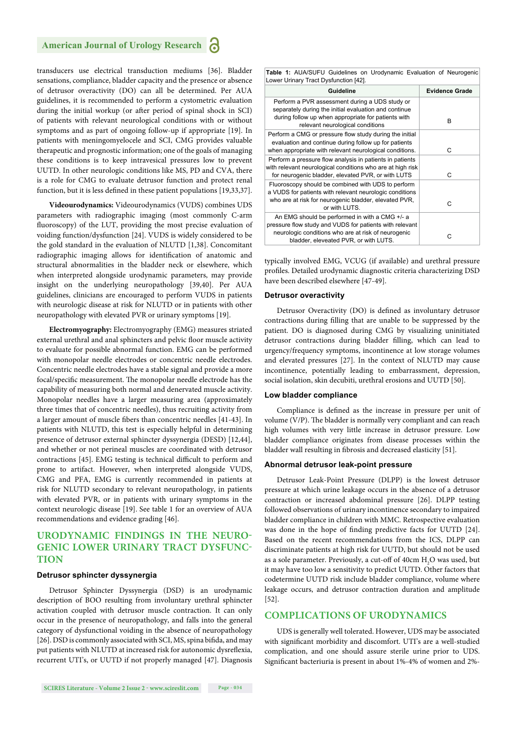transducers use electrical transduction mediums [36]. Bladder sensations, compliance, bladder capacity and the presence or absence of detrusor overactivity (DO) can all be determined. Per AUA guidelines, it is recommended to perform a cystometric evaluation during the initial workup (or after period of spinal shock in SCI) of patients with relevant neurological conditions with or without symptoms and as part of ongoing follow-up if appropriate [19]. In patients with meningomyelocele and SCI, CMG provides valuable therapeutic and prognostic information; one of the goals of managing these conditions is to keep intravesical pressures low to prevent UUTD. In other neurologic conditions like MS, PD and CVA, there is a role for CMG to evaluate detrusor function and protect renal function, but it is less defined in these patient populations [19,33,37].

**Videourodynamics:** Videourodynamics (VUDS) combines UDS parameters with radiographic imaging (most commonly C-arm fluoroscopy) of the LUT, providing the most precise evaluation of voiding function/dysfunction [24]. VUDS is widely considered to be the gold standard in the evaluation of NLUTD [1,38]. Concomitant radiographic imaging allows for identification of anatomic and structural abnormalities in the bladder neck or elsewhere, which when interpreted alongside urodynamic parameters, may provide insight on the underlying neuropathology [39,40]. Per AUA guidelines, clinicians are encouraged to perform VUDS in patients with neurologic disease at risk for NLUTD or in patients with other neuropathology with elevated PVR or urinary symptoms [19].

**Electromyography:** Electromyography (EMG) measures striated external urethral and anal sphincters and pelvic floor muscle activity to evaluate for possible abnormal function. EMG can be performed with monopolar needle electrodes or concentric needle electrodes. Concentric needle electrodes have a stable signal and provide a more focal/specific measurement. The monopolar needle electrode has the capability of measuring both normal and denervated muscle activity. Monopolar needles have a larger measuring area (approximately three times that of concentric needles), thus recruiting activity from a larger amount of muscle fibers than concentric needles [41-43]. In patients with NLUTD, this test is especially helpful in determining presence of detrusor external sphincter dyssynergia (DESD) [12,44], and whether or not perineal muscles are coordinated with detrusor contractions [45]. EMG testing is technical difficult to perform and prone to artifact. However, when interpreted alongside VUDS, CMG and PFA, EMG is currently recommended in patients at risk for NLUTD secondary to relevant neuropathology, in patients with elevated PVR, or in patients with urinary symptoms in the context neurologic disease [19]. See table 1 for an overview of AUA recommendations and evidence grading [46].

# **URODYNAMIC FINDINGS IN THE NEURO-GENIC LOWER URINARY TRACT DYSFUNC-TION**

#### **Detrusor sphincter dyssynergia**

Detrusor Sphincter Dyssynergia (DSD) is an urodynamic description of BOO resulting from involuntary urethral sphincter activation coupled with detrusor muscle contraction. It can only occur in the presence of neuropathology, and falls into the general category of dysfunctional voiding in the absence of neuropathology [26]. DSD is commonly associated with SCI, MS, spina bifida, and may put patients with NLUTD at increased risk for autonomic dysreflexia, recurrent UTI's, or UUTD if not properly managed [47]. Diagnosis **Table 1:** AUA/SUFU Guidelines on Urodynamic Evaluation of Neurogenic Lower Urinary Tract Dysfunction [42].

| Guideline                                                                                                                                                                                                 | <b>Evidence Grade</b> |
|-----------------------------------------------------------------------------------------------------------------------------------------------------------------------------------------------------------|-----------------------|
| Perform a PVR assessment during a UDS study or<br>separately during the initial evaluation and continue<br>during follow up when appropriate for patients with<br>relevant neurological conditions        | R                     |
| Perform a CMG or pressure flow study during the initial<br>evaluation and continue during follow up for patients<br>when appropriate with relevant neurological conditions.                               | С                     |
| Perform a pressure flow analysis in patients in patients<br>with relevant neurological conditions who are at high risk<br>for neurogenic bladder, elevated PVR, or with LUTS                              | C                     |
| Fluoroscopy should be combined with UDS to perform<br>a VUDS for patients with relevant neurologic conditions<br>who are at risk for neurogenic bladder, elevated PVR,<br>or with LUTS.                   | r.                    |
| An EMG should be performed in with a CMG +/- a<br>pressure flow study and VUDS for patients with relevant<br>neurologic conditions who are at risk of neurogenic<br>bladder, eleveated PVR, or with LUTS. | r.                    |

typically involved EMG, VCUG (if available) and urethral pressure profiles. Detailed urodynamic diagnostic criteria characterizing DSD have been described elsewhere [47-49].

#### **Detrusor overactivity**

Detrusor Overactivity (DO) is defined as involuntary detrusor contractions during filling that are unable to be suppressed by the patient. DO is diagnosed during CMG by visualizing uninitiated detrusor contractions during bladder filling, which can lead to urgency/frequency symptoms, incontinence at low storage volumes and elevated pressures [27]. In the context of NLUTD may cause incontinence, potentially leading to embarrassment, depression, social isolation, skin decubiti, urethral erosions and UUTD [50].

#### **Low bladder compliance**

Compliance is defined as the increase in pressure per unit of volume (V/P). The bladder is normally very compliant and can reach high volumes with very little increase in detrusor pressure. Low bladder compliance originates from disease processes within the bladder wall resulting in fibrosis and decreased elasticity [51].

#### **Abnormal detrusor leak-point pressure**

Detrusor Leak-Point Pressure (DLPP) is the lowest detrusor pressure at which urine leakage occurs in the absence of a detrusor contraction or increased abdominal pressure [26]. DLPP testing followed observations of urinary incontinence secondary to impaired bladder compliance in children with MMC. Retrospective evaluation was done in the hope of finding predictive facts for UUTD [24]. Based on the recent recommendations from the ICS, DLPP can discriminate patients at high risk for UUTD, but should not be used as a sole parameter. Previously, a cut-off of  $40cm H_2O$  was used, but it may have too low a sensitivity to predict UUTD. Other factors that codetermine UUTD risk include bladder compliance, volume where leakage occurs, and detrusor contraction duration and amplitude [52].

#### **COMPLICATIONS OF URODYNAMICS**

UDS is generally well tolerated. However, UDS may be associated with significant morbidity and discomfort. UTI's are a well-studied complication, and one should assure sterile urine prior to UDS. Significant bacteriuria is present in about 1%-4% of women and 2%-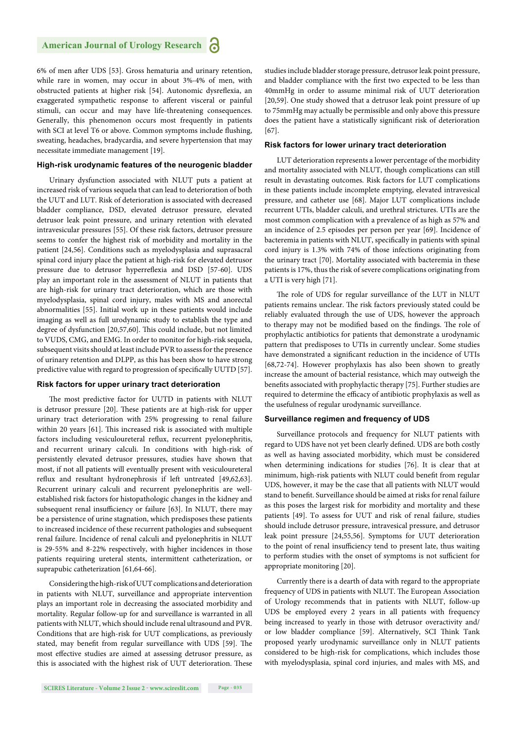6% of men after UDS [53]. Gross hematuria and urinary retention, while rare in women, may occur in about 3%-4% of men, with obstructed patients at higher risk [54]. Autonomic dysreflexia, an exaggerated sympathetic response to afferent visceral or painful stimuli, can occur and may have life-threatening consequences. Generally, this phenomenon occurs most frequently in patients with SCI at level T6 or above. Common symptoms include flushing, sweating, headaches, bradycardia, and severe hypertension that may necessitate immediate management [19].

#### **High-risk urodynamic features of the neurogenic bladder**

Urinary dysfunction associated with NLUT puts a patient at increased risk of various sequela that can lead to deterioration of both the UUT and LUT. Risk of deterioration is associated with decreased bladder compliance, DSD, elevated detrusor pressure, elevated detrusor leak point pressure, and urinary retention with elevated intravesicular pressures [55]. Of these risk factors, detrusor pressure seems to confer the highest risk of morbidity and mortality in the patient [24,56]. Conditions such as myelodysplasia and suprasacral spinal cord injury place the patient at high-risk for elevated detrusor pressure due to detrusor hyperreflexia and DSD [57-60]. UDS play an important role in the assessment of NLUT in patients that are high-risk for urinary tract deterioration, which are those with myelodysplasia, spinal cord injury, males with MS and anorectal abnormalities [55]. Initial work up in these patients would include imaging as well as full urodynamic study to establish the type and degree of dysfunction [20,57,60]. This could include, but not limited to VUDS, CMG, and EMG. In order to monitor for high-risk sequela, subsequent visits should at least include PVR to assess for the presence of urinary retention and DLPP, as this has been show to have strong predictive value with regard to progression of specifically UUTD [57].

#### **Risk factors for upper urinary tract deterioration**

The most predictive factor for UUTD in patients with NLUT is detrusor pressure [20]. These patients are at high-risk for upper urinary tract deterioration with 25% progressing to renal failure within 20 years [61]. This increased risk is associated with multiple factors including vesiculoureteral reflux, recurrent pyelonephritis, and recurrent urinary calculi. In conditions with high-risk of persistently elevated detrusor pressures, studies have shown that most, if not all patients will eventually present with vesiculoureteral reflux and resultant hydronephrosis if left untreated [49,62,63]. Recurrent urinary calculi and recurrent pyelonephritis are wellestablished risk factors for histopathologic changes in the kidney and subsequent renal insufficiency or failure [63]. In NLUT, there may be a persistence of urine stagnation, which predisposes these patients to increased incidence of these recurrent pathologies and subsequent renal failure. Incidence of renal calculi and pyelonephritis in NLUT is 29-55% and 8-22% respectively, with higher incidences in those patients requiring ureteral stents, intermittent catheterization, or suprapubic catheterization [61,64-66].

Considering the high-risk of UUT complications and deterioration in patients with NLUT, surveillance and appropriate intervention plays an important role in decreasing the associated morbidity and mortality. Regular follow-up for and surveillance is warranted in all patients with NLUT, which should include renal ultrasound and PVR. Conditions that are high-risk for UUT complications, as previously stated, may benefit from regular surveillance with UDS [59]. The most effective studies are aimed at assessing detrusor pressure, as this is associated with the highest risk of UUT deterioration. These

studies include bladder storage pressure, detrusor leak point pressure, and bladder compliance with the first two expected to be less than 40mmHg in order to assume minimal risk of UUT deterioration [20,59]. One study showed that a detrusor leak point pressure of up to 75mmHg may actually be permissible and only above this pressure does the patient have a statistically significant risk of deterioration [67].

#### **Risk factors for lower urinary tract deterioration**

LUT deterioration represents a lower percentage of the morbidity and mortality associated with NLUT, though complications can still result in devastating outcomes. Risk factors for LUT complications in these patients include incomplete emptying, elevated intravesical pressure, and catheter use [68]. Major LUT complications include recurrent UTIs, bladder calculi, and urethral strictures. UTIs are the most common complication with a prevalence of as high as 57% and an incidence of 2.5 episodes per person per year [69]. Incidence of bacteremia in patients with NLUT, specifically in patients with spinal cord injury is 1.3% with 74% of those infections originating from the urinary tract [70]. Mortality associated with bacteremia in these patients is 17%, thus the risk of severe complications originating from a UTI is very high [71].

The role of UDS for regular surveillance of the LUT in NLUT patients remains unclear. The risk factors previously stated could be reliably evaluated through the use of UDS, however the approach to therapy may not be modified based on the findings. The role of prophylactic antibiotics for patients that demonstrate a urodynamic pattern that predisposes to UTIs in currently unclear. Some studies have demonstrated a significant reduction in the incidence of UTIs [68,72-74]. However prophylaxis has also been shown to greatly increase the amount of bacterial resistance, which may outweigh the benefits associated with prophylactic therapy [75]. Further studies are required to determine the efficacy of antibiotic prophylaxis as well as the usefulness of regular urodynamic surveillance.

#### **Surveillance regimen and frequency of UDS**

Surveillance protocols and frequency for NLUT patients with regard to UDS have not yet been clearly defined. UDS are both costly as well as having associated morbidity, which must be considered when determining indications for studies [76]. It is clear that at minimum, high-risk patients with NLUT could benefit from regular UDS, however, it may be the case that all patients with NLUT would stand to benefit. Surveillance should be aimed at risks for renal failure as this poses the largest risk for morbidity and mortality and these patients [49]. To assess for UUT and risk of renal failure, studies should include detrusor pressure, intravesical pressure, and detrusor leak point pressure [24,55,56]. Symptoms for UUT deterioration to the point of renal insufficiency tend to present late, thus waiting to perform studies with the onset of symptoms is not sufficient for appropriate monitoring [20].

Currently there is a dearth of data with regard to the appropriate frequency of UDS in patients with NLUT. The European Association of Urology recommends that in patients with NLUT, follow-up UDS be employed every 2 years in all patients with frequency being increased to yearly in those with detrusor overactivity and/ or low bladder compliance [59]. Alternatively, SCI Think Tank proposed yearly urodynamic surveillance only in NLUT patients considered to be high-risk for complications, which includes those with myelodysplasia, spinal cord injuries, and males with MS, and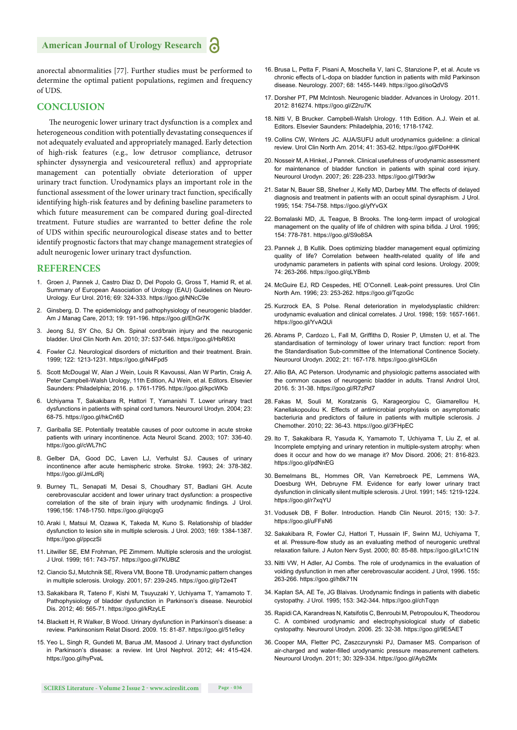anorectal abnormalities [77]. Further studies must be performed to determine the optimal patient populations, regimen and frequency of UDS.

#### **CONCLUSION**

The neurogenic lower urinary tract dysfunction is a complex and heterogeneous condition with potentially devastating consequences if not adequately evaluated and appropriately managed. Early detection of high-risk features (e.g., low detrusor compliance, detrusor sphincter dyssynergia and vesicoureteral reflux) and appropriate management can potentially obviate deterioration of upper urinary tract function. Urodynamics plays an important role in the functional assessment of the lower urinary tract function, specifically identifying high-risk features and by defining baseline parameters to which future measurement can be compared during goal-directed treatment. Future studies are warranted to better define the role of UDS within specific neurourological disease states and to better identify prognostic factors that may change management strategies of adult neurogenic lower urinary tract dysfunction.

#### **REFERENCES**

- 1. Groen J, Pannek J, Castro Diaz D, Del Popolo G, Gross T, Hamid R, et al. Summary of European Association of Urology (EAU) Guidelines on Neuro-Urology. Eur Urol. 2016; 69: 324-333. https://goo.gl/NNcC9e
- 2. Ginsberg, D. The epidemiology and pathophysiology of neurogenic bladder. Am J Manag Care, 2013; 19: 191-196. https://goo.gl/EhGr7K
- 3. Jeong SJ, SY Cho, SJ Oh. Spinal cord/brain injury and the neurogenic bladder. Urol Clin North Am. 2010; 37**:** 537-546. https://goo.gl/HbR6Xt
- 4. Fowler CJ. Neurological disorders of micturition and their treatment. Brain. 1999; 122: 1213-1231. https://goo.gl/N4Fpd5
- 5. Scott McDougal W, Alan J Wein, Louis R Kavoussi, Alan W Partin, Craig A. Peter Campbell-Walsh Urology, 11th Edition, AJ Wein, et al. Editors. Elsevier Saunders: Philadelphia; 2016. p. 1761-1795. https://goo.gl/kpcWKb
- 6. Uchiyama T, Sakakibara R, Hattori T, Yamanishi T. Lower urinary tract dysfunctions in patients with spinal cord tumors. Neurourol Urodyn. 2004; 23: 68-75. https://goo.gl/hkCn6D
- 7. Gariballa SE. Potentially treatable causes of poor outcome in acute stroke patients with urinary incontinence. Acta Neurol Scand. 2003; 107: 336-40. https://goo.gl/cWL7hC
- 8. Gelber DA, Good DC, Laven LJ, Verhulst SJ. Causes of urinary incontinence after acute hemispheric stroke*.* Stroke. 1993; 24: 378-382. https://goo.gl/JmLdRj
- 9. Burney TL, Senapati M, Desai S, Choudhary ST, Badlani GH. Acute cerebrovascular accident and lower urinary tract dysfunction: a prospective correlation of the site of brain injury with urodynamic findings. J Urol. 1996;156: 1748-1750. https://goo.gl/qicgqG
- 10. Araki I, Matsui M, Ozawa K, Takeda M, Kuno S. Relationship of bladder dysfunction to lesion site in multiple sclerosis*.* J Urol. 2003; 169: 1384-1387. https://goo.gl/ppczSi
- 11. Litwiller SE, EM Frohman, PE Zimmern. Multiple sclerosis and the urologist*.* J Urol. 1999; 161: 743-757. https://goo.gl/7KUBtZ
- 12. Ciancio SJ, Mutchnik SE, Rivera VM, Boone TB. Urodynamic pattern changes in multiple sclerosis. Urology. 2001; 57: 239-245. https://goo.gl/pT2e4T
- 13. Sakakibara R, Tateno F, Kishi M, Tsuyuzaki Y, Uchiyama T, Yamamoto T. Pathophysiology of bladder dysfunction in Parkinson's disease. Neurobiol Dis. 2012; 46: 565-71. https://goo.gl/kRzyLE
- 14. Blackett H, R Walker, B Wood. Urinary dysfunction in Parkinson's disease: a review*.* Parkinsonism Relat Disord. 2009. 15: 81-87. https://goo.gl/51e9cy
- 15. Yeo L, Singh R, Gundeti M, Barua JM, Masood J. Urinary tract dysfunction in Parkinson's disease: a review. Int Urol Nephrol. 2012; 44**:** 415-424. https://goo.gl/hyPvaL
- 16. Brusa L, Petta F, Pisani A, Moschella V, Iani C, Stanzione P, et al. Acute vs chronic effects of L-dopa on bladder function in patients with mild Parkinson disease. Neurology. 2007; 68: 1455-1449. https://goo.gl/soQdVS
- 17. Dorsher PT, PM McIntosh. Neurogenic bladder. Advances in Urology. 2011. 2012: 816274. https://goo.gl/Z2ru7K
- 18. Nitti V, B Brucker. Campbell-Walsh Urology. 11th Edition. A.J. Wein et al. Editors. Elsevier Saunders: Philadelphia, 2016; 1718-1742.
- 19. Collins CW, Winters JC. AUA/SUFU adult urodynamics guideline: a clinical review. Urol Clin North Am. 2014; 41: 353-62. https://goo.gl/FDoHHK
- 20. Nosseir M, A Hinkel, J Pannek. Clinical usefulness of urodynamic assessment for maintenance of bladder function in patients with spinal cord injury. Neurourol Urodyn. 2007; 26: 228-233. https://goo.gl/T9dr3w
- 21. Satar N, Bauer SB, Shefner J, Kelly MD, Darbey MM. The effects of delayed diagnosis and treatment in patients with an occult spinal dysraphism*.* J Urol. 1995; 154: 754-758. https://goo.gl/yfYvGX
- 22. Bomalaski MD, JL Teague, B Brooks. The long-term impact of urological management on the quality of life of children with spina bifida. J Urol. 1995: 154: 778-781. https://goo.gl/S9o8SA
- 23. Pannek J, B Kullik. Does optimizing bladder management equal optimizing quality of life? Correlation between health-related quality of life and urodynamic parameters in patients with spinal cord lesions. Urology. 2009; 74: 263-266. https://goo.gl/qLYBmb
- 24. McGuire EJ, RD Cespedes, HE O'Connell. Leak-point pressures. Urol Clin North Am. 1996; 23: 253-262. https://goo.gl/TqzoGc
- 25. Kurzrock EA, S Polse. Renal deterioration in myelodysplastic children: urodynamic evaluation and clinical correlates. J Urol. 1998; 159: 1657-1661. https://goo.gl/YvAQUi
- 26. Abrams P, Cardozo L, Fall M, Griffiths D, Rosier P, Ulmsten U, et al. The standardisation of terminology of lower urinary tract function: report from the Standardisation Sub-committee of the International Continence Society. Neurourol Urodyn. 2002; 21: 167-178. https://goo.gl/sHGL6n
- 27. Allio BA, AC Peterson. Urodynamic and physiologic patterns associated with the common causes of neurogenic bladder in adults*.* Transl Androl Urol, 2016. 5: 31-38. https://goo.gl/R7zPd7
- 28. Fakas M, Souli M, Koratzanis G, Karageorgiou C, Giamarellou H, Kanellakopoulou K. Effects of antimicrobial prophylaxis on asymptomatic bacteriuria and predictors of failure in patients with multiple sclerosis. J Chemother. 2010; 22: 36-43. https://goo.gl/3FHpEC
- 29. Ito T, Sakakibara R, Yasuda K, Yamamoto T, Uchiyama T, Liu Z, et al. Incomplete emptying and urinary retention in multiple-system atrophy: when does it occur and how do we manage it? Mov Disord. 2006; 21: 816-823. https://goo.gl/pdNnEG
- 30. Bemelmans BL, Hommes OR, Van Kerrebroeck PE, Lemmens WA, Doesburg WH, Debruyne FM. Evidence for early lower urinary tract dysfunction in clinically silent multiple sclerosis. J Urol. 1991; 145: 1219-1224. https://goo.gl/r7xqYU
- 31. Vodusek DB, F Boller. Introduction*.* Handb Clin Neurol. 2015; 130: 3-7. https://goo.gl/uFFsN6
- 32. Sakakibara R, Fowler CJ, Hattori T, Hussain IF, Swinn MJ, Uchiyama T, et al. Pressure-flow study as an evaluating method of neurogenic urethral relaxation failure. J Auton Nerv Syst. 2000; 80: 85-88. https://goo.gl/Lx1C1N
- 33. Nitti VW, H Adler, AJ Combs. The role of urodynamics in the evaluation of voiding dysfunction in men after cerebrovascular accident. J Urol, 1996. 155**:**  263-266. https://goo.gl/h8k71N
- 34. Kaplan SA, AE Te, JG Blaivas. Urodynamic findings in patients with diabetic cystopathy*.* J Urol. 1995; 153: 342-344. https://goo.gl/chTqqn
- 35. Rapidi CA, Karandreas N, Katsifotis C, Benroubi M, Petropoulou K, Theodorou C. A combined urodynamic and electrophysiological study of diabetic cystopathy*.* Neurourol Urodyn. 2006. 25: 32-38. https://goo.gl/9E5AET
- 36. Cooper MA, Fletter PC, Zaszczurynski PJ, Damaser MS. Comparison of air-charged and water-filled urodynamic pressure measurement catheters. Neurourol Urodyn. 2011; 30**:** 329-334. https://goo.gl/Ayb2Mx